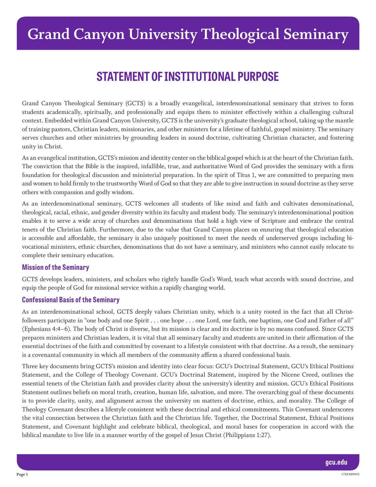# **STATEMENT OF INSTITUTIONAL PURPOSE**

Grand Canyon Theological Seminary (GCTS) is a broadly evangelical, interdenominational seminary that strives to form students academically, spiritually, and professionally and equips them to minister effectively within a challenging cultural context. Embedded within Grand Canyon University, GCTS is the university's graduate theological school, taking up the mantle of training pastors, Christian leaders, missionaries, and other ministers for a lifetime of faithful, gospel ministry. The seminary serves churches and other ministries by grounding leaders in sound doctrine, cultivating Christian character, and fostering unity in Christ.

As an evangelical institution, GCTS's mission and identity center on the biblical gospel which is at the heart of the Christian faith. The conviction that the Bible is the inspired, infallible, true, and authoritative Word of God provides the seminary with a firm foundation for theological discussion and ministerial preparation. In the spirit of Titus 1, we are committed to preparing men and women to hold firmly to the trustworthy Word of God so that they are able to give instruction in sound doctrine as they serve others with compassion and godly wisdom.

As an interdenominational seminary, GCTS welcomes all students of like mind and faith and cultivates denominational, theological, racial, ethnic, and gender diversity within its faculty and student body. The seminary's interdenominational position enables it to serve a wide array of churches and denominations that hold a high view of Scripture and embrace the central tenets of the Christian faith. Furthermore, due to the value that Grand Canyon places on ensuring that theological education is accessible and affordable, the seminary is also uniquely positioned to meet the needs of underserved groups including bivocational ministers, ethnic churches, denominations that do not have a seminary, and ministers who cannot easily relocate to complete their seminary education.

### **Mission of the Seminary**

GCTS develops leaders, ministers, and scholars who rightly handle God's Word, teach what accords with sound doctrine, and equip the people of God for missional service within a rapidly changing world.

### **Confessional Basis of the Seminary**

As an interdenominational school, GCTS deeply values Christian unity, which is a unity rooted in the fact that all Christfollowers participate in "one body and one Spirit . . . one hope . . . one Lord, one faith, one baptism, one God and Father of all" (Ephesians 4:4–6). The body of Christ is diverse, but its mission is clear and its doctrine is by no means confused. Since GCTS prepares ministers and Christian leaders, it is vital that all seminary faculty and students are united in their affirmation of the essential doctrines of the faith and committed by covenant to a lifestyle consistent with that doctrine. As a result, the seminary is a covenantal community in which all members of the community affirm a shared confessional basis.

Three key documents bring GCTS's mission and identity into clear focus: GCU's Doctrinal Statement, GCU's Ethical Positions Statement, and the College of Theology Covenant. GCU's Doctrinal Statement, inspired by the Nicene Creed, outlines the essential tenets of the Christian faith and provides clarity about the university's identity and mission. GCU's Ethical Positions Statement outlines beliefs on moral truth, creation, human life, salvation, and more. The overarching goal of these documents is to provide clarity, unity, and alignment across the university on matters of doctrine, ethics, and morality. The College of Theology Covenant describes a lifestyle consistent with these doctrinal and ethical commitments. This Covenant underscores the vital connection between the Christian faith and the Christian life. Together, the Doctrinal Statement, Ethical Positions Statement, and Covenant highlight and celebrate biblical, theological, and moral bases for cooperation in accord with the biblical mandate to live life in a manner worthy of the gospel of Jesus Christ (Philippians 1:27).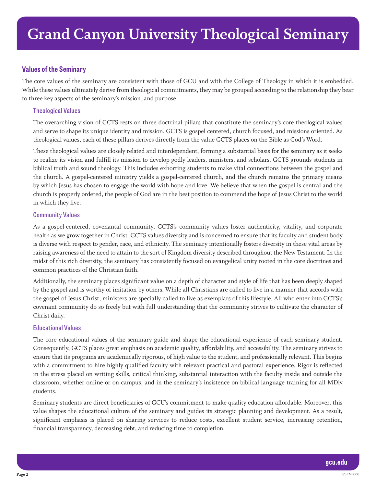## **Values of the Seminary**

The core values of the seminary are consistent with those of GCU and with the College of Theology in which it is embedded. While these values ultimately derive from theological commitments, they may be grouped according to the relationship they bear to three key aspects of the seminary's mission, and purpose.

#### **Theological Values**

The overarching vision of GCTS rests on three doctrinal pillars that constitute the seminary's core theological values and serve to shape its unique identity and mission. GCTS is gospel centered, church focused, and missions oriented. As theological values, each of these pillars derives directly from the value GCTS places on the Bible as God's Word.

These theological values are closely related and interdependent, forming a substantial basis for the seminary as it seeks to realize its vision and fulfill its mission to develop godly leaders, ministers, and scholars. GCTS grounds students in biblical truth and sound theology. This includes exhorting students to make vital connections between the gospel and the church. A gospel-centered ministry yields a gospel-centered church, and the church remains the primary means by which Jesus has chosen to engage the world with hope and love. We believe that when the gospel is central and the church is properly ordered, the people of God are in the best position to commend the hope of Jesus Christ to the world in which they live.

#### **Community Values**

As a gospel-centered, covenantal community, GCTS's community values foster authenticity, vitality, and corporate health as we grow together in Christ. GCTS values diversity and is concerned to ensure that its faculty and student body is diverse with respect to gender, race, and ethnicity. The seminary intentionally fosters diversity in these vital areas by raising awareness of the need to attain to the sort of Kingdom diversity described throughout the New Testament. In the midst of this rich diversity, the seminary has consistently focused on evangelical unity rooted in the core doctrines and common practices of the Christian faith.

Additionally, the seminary places significant value on a depth of character and style of life that has been deeply shaped by the gospel and is worthy of imitation by others. While all Christians are called to live in a manner that accords with the gospel of Jesus Christ, ministers are specially called to live as exemplars of this lifestyle. All who enter into GCTS's covenant community do so freely but with full understanding that the community strives to cultivate the character of Christ daily.

#### **Educational Values**

The core educational values of the seminary guide and shape the educational experience of each seminary student. Consequently, GCTS places great emphasis on academic quality, affordability, and accessibility. The seminary strives to ensure that its programs are academically rigorous, of high value to the student, and professionally relevant. This begins with a commitment to hire highly qualified faculty with relevant practical and pastoral experience. Rigor is reflected in the stress placed on writing skills, critical thinking, substantial interaction with the faculty inside and outside the classroom, whether online or on campus, and in the seminary's insistence on biblical language training for all MDiv students.

Seminary students are direct beneficiaries of GCU's commitment to make quality education affordable. Moreover, this value shapes the educational culture of the seminary and guides its strategic planning and development. As a result, significant emphasis is placed on sharing services to reduce costs, excellent student service, increasing retention, financial transparency, decreasing debt, and reducing time to completion.